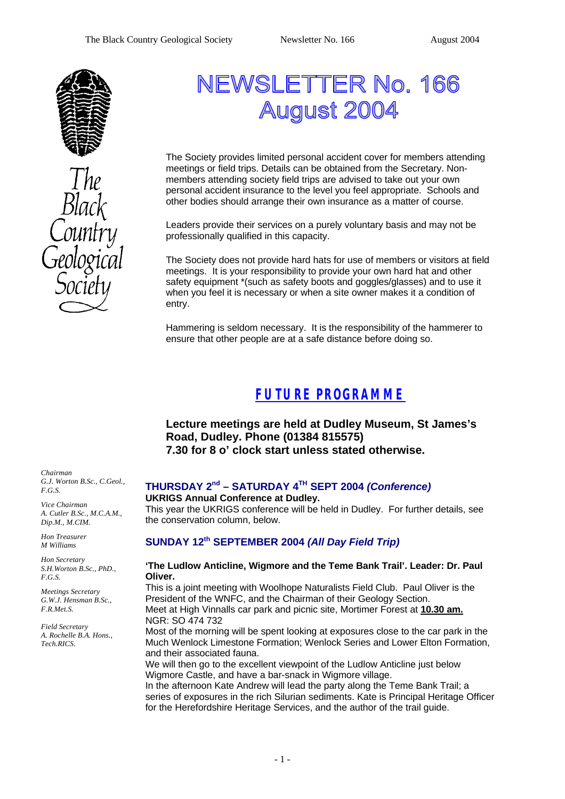

# NEWSLETTER No. 166 **August 2004**

The Society provides limited personal accident cover for members attending meetings or field trips. Details can be obtained from the Secretary. Nonmembers attending society field trips are advised to take out your own personal accident insurance to the level you feel appropriate. Schools and other bodies should arrange their own insurance as a matter of course.

Leaders provide their services on a purely voluntary basis and may not be professionally qualified in this capacity.

The Society does not provide hard hats for use of members or visitors at field meetings. It is your responsibility to provide your own hard hat and other safety equipment \*(such as safety boots and goggles/glasses) and to use it when you feel it is necessary or when a site owner makes it a condition of entry.

Hammering is seldom necessary. It is the responsibility of the hammerer to ensure that other people are at a safe distance before doing so.

# *FUTURE PROGRAMME*

**Lecture meetings are held at Dudley Museum, St James's Road, Dudley. Phone (01384 815575) 7.30 for 8 o' clock start unless stated otherwise.**

### **THURSDAY 2nd – SATURDAY 4TH SEPT 2004** *(Conference)*

**UKRIGS Annual Conference at Dudley.**

This year the UKRIGS conference will be held in Dudley. For further details, see the conservation column, below.

### **SUNDAY 12th SEPTEMBER 2004** *(All Day Field Trip)*

#### **'The Ludlow Anticline, Wigmore and the Teme Bank Trail'. Leader: Dr. Paul Oliver.**

This is a joint meeting with Woolhope Naturalists Field Club. Paul Oliver is the President of the WNFC, and the Chairman of their Geology Section. Meet at High Vinnalls car park and picnic site, Mortimer Forest at **10.30 am.** NGR: SO 474 732

Most of the morning will be spent looking at exposures close to the car park in the Much Wenlock Limestone Formation; Wenlock Series and Lower Elton Formation, and their associated fauna.

We will then go to the excellent viewpoint of the Ludlow Anticline just below Wigmore Castle, and have a bar-snack in Wigmore village.

In the afternoon Kate Andrew will lead the party along the Teme Bank Trail; a series of exposures in the rich Silurian sediments. Kate is Principal Heritage Officer for the Herefordshire Heritage Services, and the author of the trail guide.

*Chairman G.J. Worton B.Sc., C.Geol., F.G.S.*

*Vice Chairman A. Cutler B.Sc., M.C.A.M., Dip.M., M.CIM.*

*Hon Treasurer M Williams* 

*Hon Secretary S.H.Worton B.Sc., PhD., F.G.S.*

*Meetings Secretary G.W.J. Hensman B.Sc., F.R.Met.S.*

*Field Secretary A. Rochelle B.A. Hons., Tech.RICS.*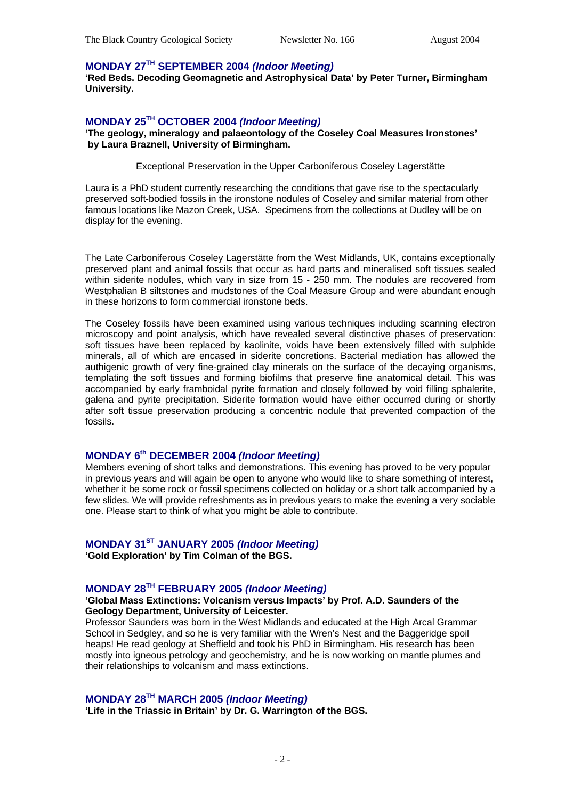### **MONDAY 27TH SEPTEMBER 2004** *(Indoor Meeting)*

**'Red Beds. Decoding Geomagnetic and Astrophysical Data' by Peter Turner, Birmingham University.** 

#### **MONDAY 25TH OCTOBER 2004** *(Indoor Meeting)*

**'The geology, mineralogy and palaeontology of the Coseley Coal Measures Ironstones' by Laura Braznell, University of Birmingham.**

Exceptional Preservation in the Upper Carboniferous Coseley Lagerstätte

Laura is a PhD student currently researching the conditions that gave rise to the spectacularly preserved soft-bodied fossils in the ironstone nodules of Coseley and similar material from other famous locations like Mazon Creek, USA. Specimens from the collections at Dudley will be on display for the evening.

The Late Carboniferous Coseley Lagerstätte from the West Midlands, UK, contains exceptionally preserved plant and animal fossils that occur as hard parts and mineralised soft tissues sealed within siderite nodules, which vary in size from 15 - 250 mm. The nodules are recovered from Westphalian B siltstones and mudstones of the Coal Measure Group and were abundant enough in these horizons to form commercial ironstone beds.

The Coseley fossils have been examined using various techniques including scanning electron microscopy and point analysis, which have revealed several distinctive phases of preservation: soft tissues have been replaced by kaolinite, voids have been extensively filled with sulphide minerals, all of which are encased in siderite concretions. Bacterial mediation has allowed the authigenic growth of very fine-grained clay minerals on the surface of the decaying organisms, templating the soft tissues and forming biofilms that preserve fine anatomical detail. This was accompanied by early framboidal pyrite formation and closely followed by void filling sphalerite, galena and pyrite precipitation. Siderite formation would have either occurred during or shortly after soft tissue preservation producing a concentric nodule that prevented compaction of the fossils.

### **MONDAY 6th DECEMBER 2004** *(Indoor Meeting)*

Members evening of short talks and demonstrations. This evening has proved to be very popular in previous years and will again be open to anyone who would like to share something of interest, whether it be some rock or fossil specimens collected on holiday or a short talk accompanied by a few slides. We will provide refreshments as in previous years to make the evening a very sociable one. Please start to think of what you might be able to contribute.

### **MONDAY 31ST JANUARY 2005** *(Indoor Meeting)*

**'Gold Exploration' by Tim Colman of the BGS.**

### **MONDAY 28TH FEBRUARY 2005** *(Indoor Meeting)*

#### **'Global Mass Extinctions: Volcanism versus Impacts' by Prof. A.D. Saunders of the Geology Department, University of Leicester.**

Professor Saunders was born in the West Midlands and educated at the High Arcal Grammar School in Sedgley, and so he is very familiar with the Wren's Nest and the Baggeridge spoil heaps! He read geology at Sheffield and took his PhD in Birmingham. His research has been mostly into igneous petrology and geochemistry, and he is now working on mantle plumes and their relationships to volcanism and mass extinctions.

### **MONDAY 28TH MARCH 2005** *(Indoor Meeting)*

**'Life in the Triassic in Britain' by Dr. G. Warrington of the BGS.**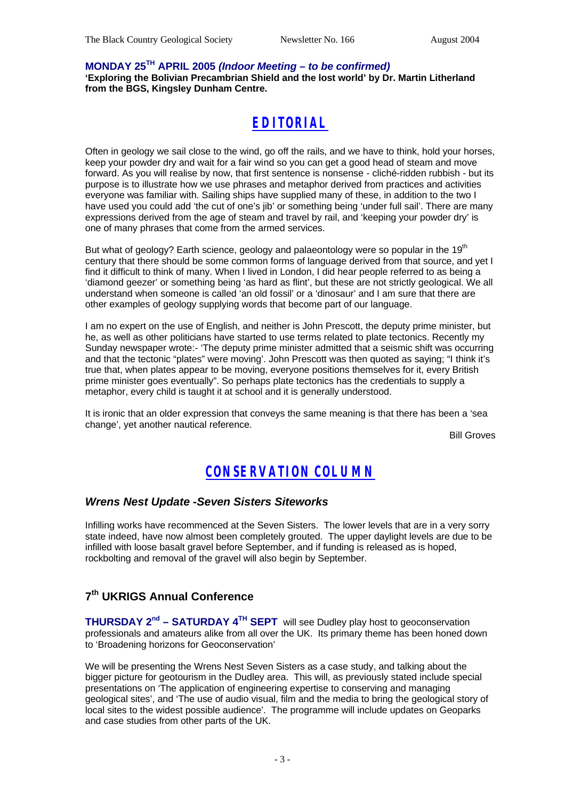#### **MONDAY 25TH APRIL 2005** *(Indoor Meeting – to be confirmed)*

**'Exploring the Bolivian Precambrian Shield and the lost world' by Dr. Martin Litherland from the BGS, Kingsley Dunham Centre.**

# *EDITORIAL*

Often in geology we sail close to the wind, go off the rails, and we have to think, hold your horses, keep your powder dry and wait for a fair wind so you can get a good head of steam and move forward. As you will realise by now, that first sentence is nonsense - cliché-ridden rubbish - but its purpose is to illustrate how we use phrases and metaphor derived from practices and activities everyone was familiar with. Sailing ships have supplied many of these, in addition to the two I have used you could add 'the cut of one's jib' or something being 'under full sail'. There are many expressions derived from the age of steam and travel by rail, and 'keeping your powder dry' is one of many phrases that come from the armed services.

But what of geology? Earth science, geology and palaeontology were so popular in the 19<sup>th</sup> century that there should be some common forms of language derived from that source, and yet I find it difficult to think of many. When I lived in London, I did hear people referred to as being a 'diamond geezer' or something being 'as hard as flint', but these are not strictly geological. We all understand when someone is called 'an old fossil' or a 'dinosaur' and I am sure that there are other examples of geology supplying words that become part of our language.

I am no expert on the use of English, and neither is John Prescott, the deputy prime minister, but he, as well as other politicians have started to use terms related to plate tectonics. Recently my Sunday newspaper wrote:- 'The deputy prime minister admitted that a seismic shift was occurring and that the tectonic "plates" were moving'. John Prescott was then quoted as saying; "I think it's true that, when plates appear to be moving, everyone positions themselves for it, every British prime minister goes eventually". So perhaps plate tectonics has the credentials to supply a metaphor, every child is taught it at school and it is generally understood.

It is ironic that an older expression that conveys the same meaning is that there has been a 'sea change', yet another nautical reference.

Bill Groves

### *CONSERVATION COLUMN*

### *Wrens Nest Update -Seven Sisters Siteworks*

Infilling works have recommenced at the Seven Sisters. The lower levels that are in a very sorry state indeed, have now almost been completely grouted. The upper daylight levels are due to be infilled with loose basalt gravel before September, and if funding is released as is hoped, rockbolting and removal of the gravel will also begin by September.

### **7 th UKRIGS Annual Conference**

**THURSDAY 2nd – SATURDAY 4TH SEPT** will see Dudley play host to geoconservation professionals and amateurs alike from all over the UK. Its primary theme has been honed down to 'Broadening horizons for Geoconservation'

We will be presenting the Wrens Nest Seven Sisters as a case study, and talking about the bigger picture for geotourism in the Dudley area. This will, as previously stated include special presentations on 'The application of engineering expertise to conserving and managing geological sites', and 'The use of audio visual, film and the media to bring the geological story of local sites to the widest possible audience'. The programme will include updates on Geoparks and case studies from other parts of the UK.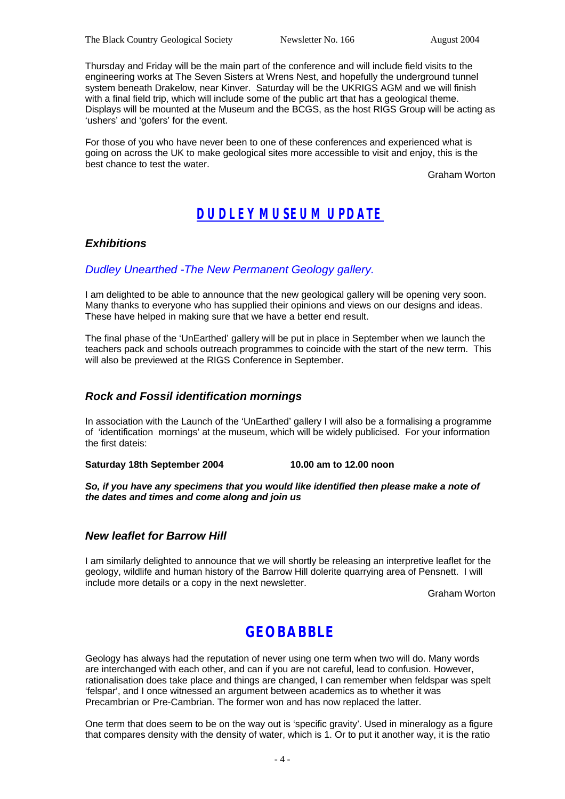Thursday and Friday will be the main part of the conference and will include field visits to the engineering works at The Seven Sisters at Wrens Nest, and hopefully the underground tunnel system beneath Drakelow, near Kinver. Saturday will be the UKRIGS AGM and we will finish with a final field trip, which will include some of the public art that has a geological theme. Displays will be mounted at the Museum and the BCGS, as the host RIGS Group will be acting as 'ushers' and 'gofers' for the event.

For those of you who have never been to one of these conferences and experienced what is going on across the UK to make geological sites more accessible to visit and enjoy, this is the best chance to test the water.

Graham Worton

# *DUDLEY MUSEUM UPDATE*

### *Exhibitions*

### *Dudley Unearthed -The New Permanent Geology gallery.*

I am delighted to be able to announce that the new geological gallery will be opening very soon. Many thanks to everyone who has supplied their opinions and views on our designs and ideas. These have helped in making sure that we have a better end result.

The final phase of the 'UnEarthed' gallery will be put in place in September when we launch the teachers pack and schools outreach programmes to coincide with the start of the new term. This will also be previewed at the RIGS Conference in September.

#### *Rock and Fossil identification mornings*

In association with the Launch of the 'UnEarthed' gallery I will also be a formalising a programme of 'identification mornings' at the museum, which will be widely publicised. For your information the first dateis:

**Saturday 18th September 2004 10.00 am to 12.00 noon**

*So, if you have any specimens that you would like identified then please make a note of the dates and times and come along and join us* 

#### *New leaflet for Barrow Hill*

I am similarly delighted to announce that we will shortly be releasing an interpretive leaflet for the geology, wildlife and human history of the Barrow Hill dolerite quarrying area of Pensnett. I will include more details or a copy in the next newsletter.

Graham Worton

### **GEOBABBLE**

Geology has always had the reputation of never using one term when two will do. Many words are interchanged with each other, and can if you are not careful, lead to confusion. However, rationalisation does take place and things are changed, I can remember when feldspar was spelt 'felspar', and I once witnessed an argument between academics as to whether it was Precambrian or Pre-Cambrian. The former won and has now replaced the latter.

One term that does seem to be on the way out is 'specific gravity'. Used in mineralogy as a figure that compares density with the density of water, which is 1. Or to put it another way, it is the ratio